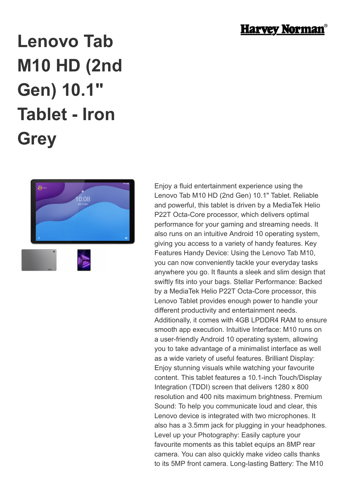

# **Lenovo Tab M10 HD (2nd Gen) 10.1" Tablet - Iron Grey**



Enjoy a fluid entertainment experience using the Lenovo Tab M10 HD (2nd Gen) 10.1" Tablet. Reliable and powerful, this tablet is driven by a MediaTek Helio P22T Octa-Core processor, which delivers optimal performance for your gaming and streaming needs. It also runs on an intuitive Android 10 operating system, giving you access to a variety of handy features. Key Features Handy Device: Using the Lenovo Tab M10, you can now conveniently tackle your everyday tasks anywhere you go. It flaunts a sleek and slim design that swiftly fits into your bags. Stellar Performance: Backed by a MediaTek Helio P22T Octa-Core processor, this Lenovo Tablet provides enough power to handle your different productivity and entertainment needs. Additionally, it comes with 4GB LPDDR4 RAM to ensure smooth app execution. Intuitive Interface: M10 runs on a user-friendly Android 10 operating system, allowing you to take advantage of a minimalist interface as well as a wide variety of useful features. Brilliant Display: Enjoy stunning visuals while watching your favourite content. This tablet features a 10.1-inch Touch/Display Integration (TDDI) screen that delivers 1280 x 800 resolution and 400 nits maximum brightness. Premium Sound: To help you communicate loud and clear, this Lenovo device is integrated with two microphones. It also has a 3.5mm jack for plugging in your headphones. Level up your Photography: Easily capture your favourite moments as this tablet equips an 8MP rear camera. You can also quickly make video calls thanks to its 5MP front camera. Long-lasting Battery: The M10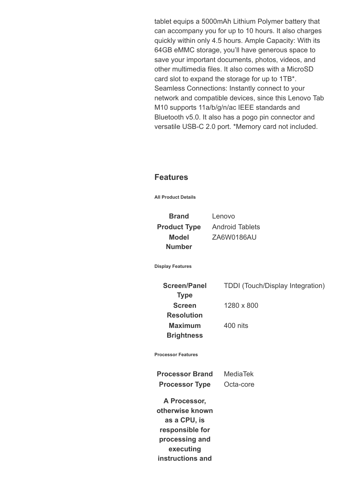tablet equips a 5000mAh Lithium Polymer battery that can accompany you for up to 10 hours. It also charges quickly within only 4.5 hours. Ample Capacity: With its 64GB eMMC storage, you'll have generous space to save your important documents, photos, videos, and other multimedia files. It also comes with a MicroSD card slot to expand the storage for up to 1TB\*. Seamless Connections: Instantly connect to your network and compatible devices, since this Lenovo Tab M10 supports 11a/b/g/n/ac IEEE standards and Bluetooth v5.0. It also has a pogo pin connector and versatile USB-C 2.0 port. \*Memory card not included.

### **Features**

**All Product Details**

**Brand** Lenovo **Model Number**

**Product Type** Android Tablets ZA6W0186AU

**Display Features**

**Screen/Panel Type Screen Resolution Maximum Brightness**

TDDI (Touch/Display Integration)

1280 x 800

400 nits

**Processor Features**

**Processor Brand** MediaTek **Processor Type** Octa-core

**A Processor, otherwise known as a CPU, is responsible for processing and executing instructions and**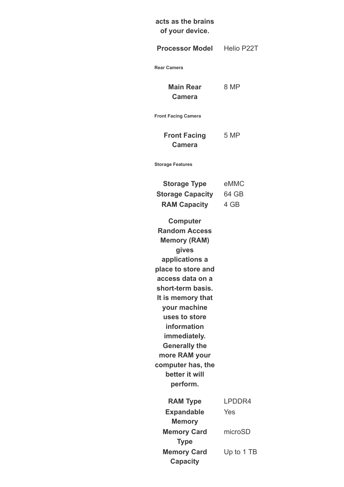# **acts as the brains of your device.**

| <b>Processor Model</b>                                                                                                                                                                                                                                                                                                                                                                                             | Helio P22T            |
|--------------------------------------------------------------------------------------------------------------------------------------------------------------------------------------------------------------------------------------------------------------------------------------------------------------------------------------------------------------------------------------------------------------------|-----------------------|
| <b>Rear Camera</b>                                                                                                                                                                                                                                                                                                                                                                                                 |                       |
| <b>Main Rear</b><br><b>Camera</b>                                                                                                                                                                                                                                                                                                                                                                                  | 8 MP                  |
| <b>Front Facing Camera</b>                                                                                                                                                                                                                                                                                                                                                                                         |                       |
| <b>Front Facing</b><br><b>Camera</b>                                                                                                                                                                                                                                                                                                                                                                               | 5 MP                  |
| <b>Storage Features</b>                                                                                                                                                                                                                                                                                                                                                                                            |                       |
| <b>Storage Type</b><br><b>Storage Capacity</b><br><b>RAM Capacity</b><br><b>Computer</b><br><b>Random Access</b><br><b>Memory (RAM)</b><br>gives<br>applications a<br>place to store and<br>access data on a<br>short-term basis.<br>It is memory that<br>your machine<br>uses to store<br>information<br>immediately.<br><b>Generally the</b><br>more RAM your<br>computer has, the<br>better it will<br>perform. | eMMC<br>64 GB<br>4 GB |
| <b>RAM Type</b><br><b>Expandable</b>                                                                                                                                                                                                                                                                                                                                                                               | LPDDR4<br>Yes         |
| <b>Memory</b><br><b>Memory Card</b><br><b>Type</b>                                                                                                                                                                                                                                                                                                                                                                 | microSD               |
| <b>Memory Card</b><br><b>Capacity</b>                                                                                                                                                                                                                                                                                                                                                                              | Up to 1 TB            |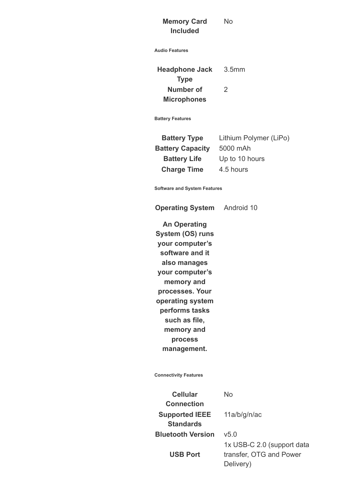#### **Memory Card Included** No

**Audio Features**

**Headphone Jack Type** 3.5mm **Number of Microphones**  $\mathfrak{D}$ 

**Battery Features**

**Battery Type** Lithium Polymer (LiPo) **Battery Capacity** 5000 mAh **Battery Life** Up to 10 hours **Charge Time** 4.5 hours

**Software and System Features**

**Operating System** Android 10

**An Operating System (OS) runs your computer's software and it also manages your computer's memory and processes. Your operating system performs tasks such as file, memory and process management.**

**Connectivity Features**

**Cellular Connection Supported IEEE Standards Bluetooth Version** v5.0

**USB Port**

No

11a/b/g/n/ac

1x USB-C 2.0 (support data transfer, OTG and Power Delivery)